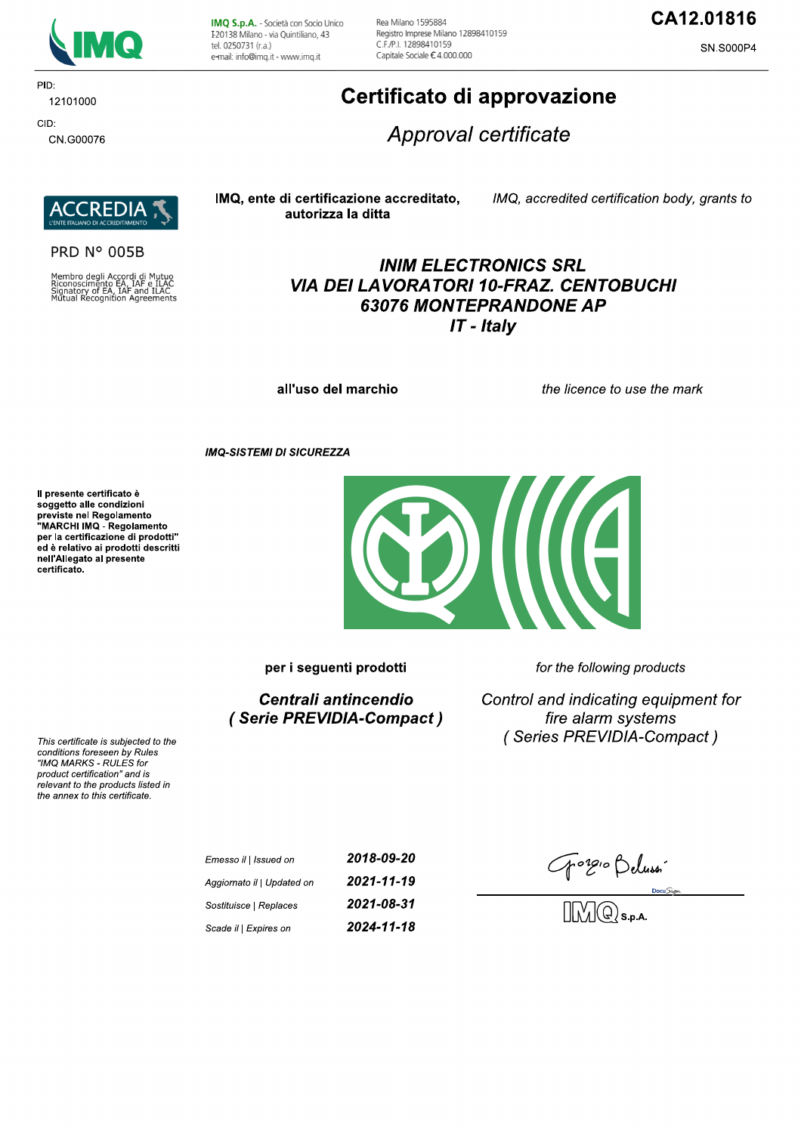

PID: 12101000 CID:

CN.G00076

IMQ S.p.A. - Società con Socio Unico I 20138 Milano - via Quintiliano, 43 tel. 0250731 (r.a.) e-mail: info@imq.it - www.imq.it

Rea Milano 1595884 Registro Imprese Milano 12898410159 C F /P | 12898410159 Capitale Sociale €4.000.000

### CA12.01816

SN.S000P4

# Certificato di approvazione

Approval certificate



#### **PRD N° 005B**

Membro degli Accordi di Mutuo<br>Riconoscimento EA, IAF e ILAC<br>Signatory of EA, IAF and ILAC<br>Mutual Recognition Agreements

#### IMQ, ente di certificazione accreditato, autorizza la ditta

IMQ, accredited certification body, grants to

### **INIM ELECTRONICS SRL VIA DEI LAVORATORI 10-FRAZ. CENTOBUCHI 63076 MONTEPRANDONE AP**  $IT$  - Italy

all'uso del marchio

the licence to use the mark

**IMQ-SISTEMI DI SICUREZZA** 

Il presente certificato è soggetto alle condizioni Soggetto and containmento<br>previste nel Regolamento<br>"MARCHI IMQ - Regolamento per la certificazione di prodotti" ed è relativo ai prodotti descritti nell'Allegato al presente certificato.



per i seguenti prodotti

Centrali antincendio (Serie PREVIDIA-Compact) for the following products

Control and indicating equipment for fire alarm systems (Series PREVIDIA-Compact)

This certificate is subjected to the conditions foreseen by Rules "IMQ MARKS - RULES for product certification" and is relevant to the products listed in the annex to this certificate.

> 2018-09-20 Emesso il | Issued on 2021-11-19 Aggiornato il | Updated on 2021-08-31 Sostituisce | Replaces 2024-11-18 Scade il | Expires on

Gorgio Belussin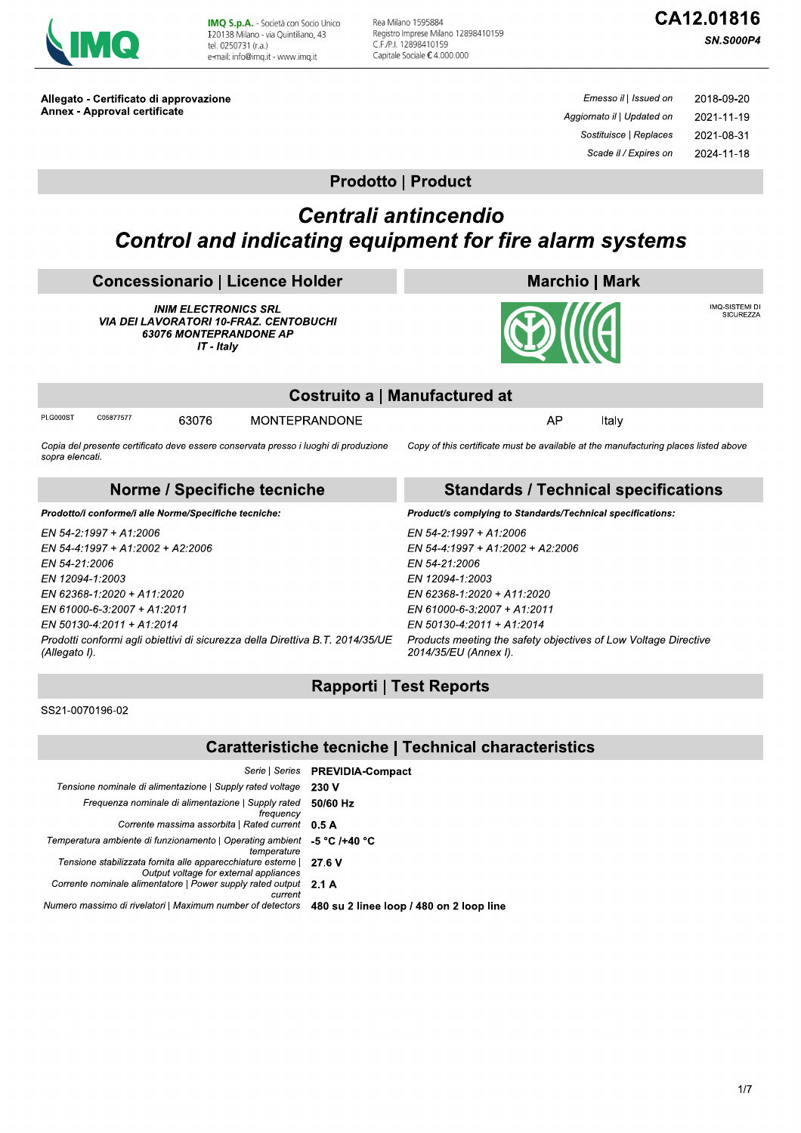

IMQ S.p.A. - Società con Socio Unico I 20138 Milano - via Quintiliano, 43 tel. 0250731 (r.a.) e-mail: info@imq.it - www.imq.it

Rea Milano 1595884 Registro Imprese Milano 12898410159 C.F./P.I. 12898410159 Capitale Sociale €4.000.000

# CA12.01816

**SN.S000P4** 

Allegato - Certificato di approvazione Annex - Approval certificate

Emesso il | Issued on 2018-09-20 Aggiornato il | Updated on 2021-11-19 Sostituisce | Replaces 2021-08-31 Scade il / Expires on 2024-11-18

### **Prodotto | Product**

## Centrali antincendio **Control and indicating equipment for fire alarm systems**

| <b>Concessionario   Licence Holder</b>                                                                                                                                                   | <b>Marchio   Mark</b>                                                                                                                                                                    |  |  |  |
|------------------------------------------------------------------------------------------------------------------------------------------------------------------------------------------|------------------------------------------------------------------------------------------------------------------------------------------------------------------------------------------|--|--|--|
| <b>INIM ELECTRONICS SRL</b><br><b>VIA DEI LAVORATORI 10-FRAZ. CENTOBUCHI</b><br><b>63076 MONTEPRANDONE AP</b><br>IT - Italy                                                              | IMQ-SISTEMI DI<br><b>SICUREZZA</b><br><b>BOIIIE</b>                                                                                                                                      |  |  |  |
| Costruito a   Manufactured at                                                                                                                                                            |                                                                                                                                                                                          |  |  |  |
| <b>PI.G000ST</b><br>C05877577<br><b>MONTEPRANDONE</b><br>63076                                                                                                                           | AP<br>Italy                                                                                                                                                                              |  |  |  |
| Copia del presente certificato deve essere conservata presso i luoghi di produzione<br>sopra elencati.                                                                                   | Copy of this certificate must be available at the manufacturing places listed above                                                                                                      |  |  |  |
| Norme / Specifiche tecniche                                                                                                                                                              | <b>Standards / Technical specifications</b>                                                                                                                                              |  |  |  |
| Prodotto/i conforme/i alle Norme/Specifiche tecniche:                                                                                                                                    | Product/s complying to Standards/Technical specifications:                                                                                                                               |  |  |  |
| EN 54-2:1997 + A1:2006<br>EN 54-4:1997 + A1:2002 + A2:2006<br>EN 54-21:2006<br>EN 12094-1:2003<br>EN 62368-1:2020 + A11:2020<br>EN 61000-6-3.2007 + A1:2011<br>EN 50130-4:2011 + A1:2014 | EN 54-2:1997 + A1:2006<br>EN 54-4:1997 + A1:2002 + A2:2006<br>EN 54-21:2006<br>EN 12094-1:2003<br>EN 62368-1:2020 + A11:2020<br>EN 61000-6-3:2007 + A1:2011<br>EN 50130-4:2011 + A1:2014 |  |  |  |
| Prodotti conformi agli obiettivi di sicurezza della Direttiva B.T. 2014/35/UE                                                                                                            | Products meeting the safety objectives of Low Voltage Directive                                                                                                                          |  |  |  |

 $\overline{E}$ Prodotti conformi agli obiettivi di sicurezza della Direttiva B.T. 2014/35/UE (Allegato I).

### **Rapporti | Test Reports**

2014/35/EU (Annex I).

SS21-0070196-02

### **Caratteristiche tecniche | Technical characteristics**

|                                                                                                        | Serie   Series <b>PREVIDIA-Compact</b>   |
|--------------------------------------------------------------------------------------------------------|------------------------------------------|
| Tensione nominale di alimentazione   Supply rated voltage                                              | 230 V                                    |
| Frequenza nominale di alimentazione   Supply rated<br>freauency                                        | 50/60 Hz                                 |
| Corrente massima assorbita   Rated current                                                             | 0.5A                                     |
| Temperatura ambiente di funzionamento   Operating ambient<br>temperature                               | -5 °C /+40 °C                            |
| Tensione stabilizzata fornita alle apparecchiature esterne  <br>Output voltage for external appliances | 27.6 V                                   |
| Corrente nominale alimentatore   Power supply rated output<br>current                                  | 2.1A                                     |
| Numero massimo di rivelatori   Maximum number of detectors                                             | 480 su 2 linee loop / 480 on 2 loop line |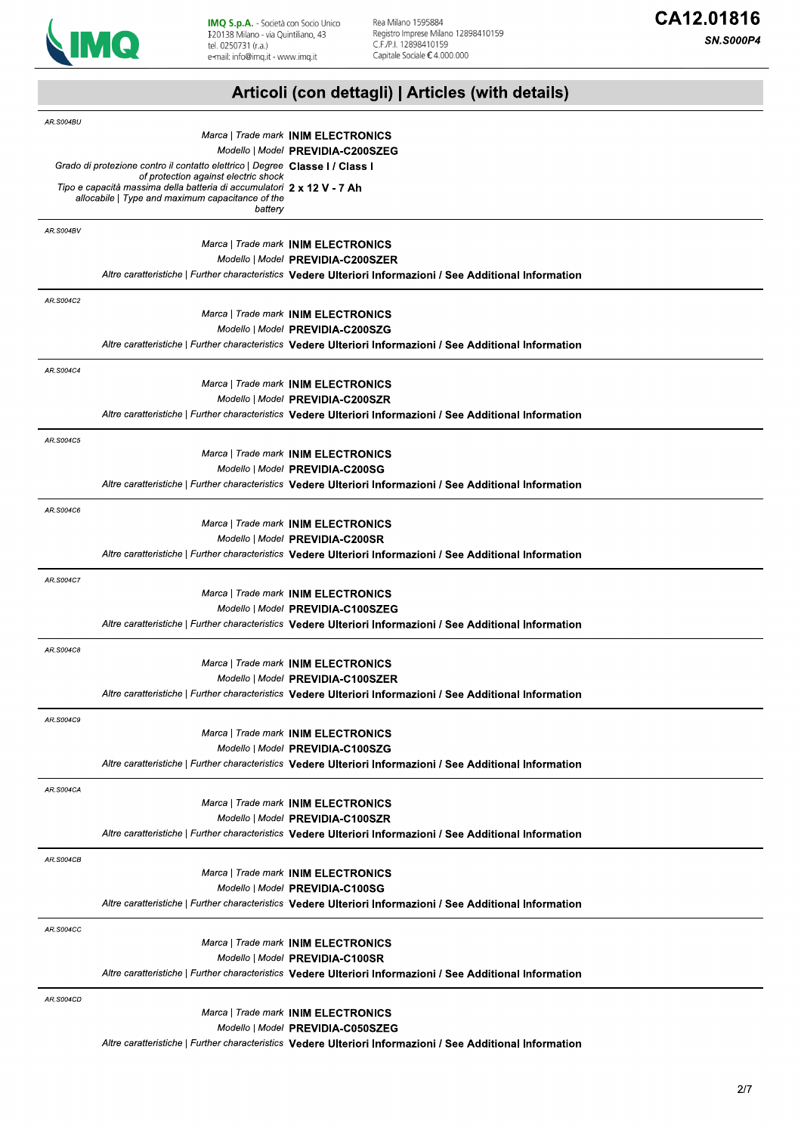

**SN.S000P4** 

# Articoli (con dettagli) | Articles (with details)

| AR.S004BU        |                                                                                                                            |                                                                                                                                                |
|------------------|----------------------------------------------------------------------------------------------------------------------------|------------------------------------------------------------------------------------------------------------------------------------------------|
|                  |                                                                                                                            | Marca   Trade mark INIM ELECTRONICS                                                                                                            |
|                  |                                                                                                                            | Modello   Model PREVIDIA-C200SZEG                                                                                                              |
|                  | Grado di protezione contro il contatto elettrico   Degree Classe I / Class I<br>of protection against electric shock       |                                                                                                                                                |
|                  | Tipo e capacità massima della batteria di accumulatori 2 x 12 V - 7 Ah<br>allocabile   Type and maximum capacitance of the |                                                                                                                                                |
|                  | battery                                                                                                                    |                                                                                                                                                |
| AR.S004BV        |                                                                                                                            |                                                                                                                                                |
|                  |                                                                                                                            | Marca   Trade mark INIM ELECTRONICS                                                                                                            |
|                  |                                                                                                                            | Modello   Model PREVIDIA-C200SZER                                                                                                              |
|                  |                                                                                                                            | Altre caratteristiche   Further characteristics Vedere Ulteriori Informazioni / See Additional Information                                     |
| AR.S004C2        |                                                                                                                            |                                                                                                                                                |
|                  |                                                                                                                            | Marca   Trade mark INIM ELECTRONICS                                                                                                            |
|                  |                                                                                                                            | Modello   Model PREVIDIA-C200SZG                                                                                                               |
|                  |                                                                                                                            | Altre caratteristiche   Further characteristics Vedere Ulteriori Informazioni / See Additional Information                                     |
| AR.S004C4        |                                                                                                                            |                                                                                                                                                |
|                  |                                                                                                                            | Marca   Trade mark INIM ELECTRONICS                                                                                                            |
|                  |                                                                                                                            | Modello   Model PREVIDIA-C200SZR                                                                                                               |
|                  |                                                                                                                            | Altre caratteristiche   Further characteristics Vedere Ulteriori Informazioni / See Additional Information                                     |
| AR.S004C5        |                                                                                                                            |                                                                                                                                                |
|                  |                                                                                                                            | Marca   Trade mark INIM ELECTRONICS                                                                                                            |
|                  |                                                                                                                            | Modello   Model PREVIDIA-C200SG                                                                                                                |
|                  |                                                                                                                            | Altre caratteristiche   Further characteristics Vedere Ulteriori Informazioni / See Additional Information                                     |
| AR.S004C6        |                                                                                                                            |                                                                                                                                                |
|                  |                                                                                                                            | Marca   Trade mark INIM ELECTRONICS                                                                                                            |
|                  |                                                                                                                            | Modello   Model PREVIDIA-C200SR                                                                                                                |
|                  |                                                                                                                            | Altre caratteristiche   Further characteristics Vedere Ulteriori Informazioni / See Additional Information                                     |
| AR.S004C7        |                                                                                                                            |                                                                                                                                                |
|                  |                                                                                                                            | Marca   Trade mark INIM ELECTRONICS                                                                                                            |
|                  |                                                                                                                            | Modello   Model PREVIDIA-C100SZEG                                                                                                              |
|                  |                                                                                                                            | Altre caratteristiche   Further characteristics Vedere Ulteriori Informazioni / See Additional Information                                     |
| AR.S004C8        |                                                                                                                            |                                                                                                                                                |
|                  |                                                                                                                            | Marca   Trade mark INIM ELECTRONICS                                                                                                            |
|                  |                                                                                                                            | Modello   Model PREVIDIA-C100SZER                                                                                                              |
|                  |                                                                                                                            | Altre caratteristiche   Further characteristics Vedere Ulteriori Informazioni / See Additional Information                                     |
| AR.S004C9        |                                                                                                                            |                                                                                                                                                |
|                  |                                                                                                                            | Marca   Trade mark INIM ELECTRONICS                                                                                                            |
|                  |                                                                                                                            | Modello   Model PREVIDIA-C100SZG                                                                                                               |
|                  |                                                                                                                            | Altre caratteristiche   Further characteristics Vedere Ulteriori Informazioni / See Additional Information                                     |
| AR.S004CA        |                                                                                                                            |                                                                                                                                                |
|                  |                                                                                                                            | Marca   Trade mark INIM ELECTRONICS                                                                                                            |
|                  |                                                                                                                            | Modello   Model PREVIDIA-C100SZR<br>Altre caratteristiche   Further characteristics Vedere Ulteriori Informazioni / See Additional Information |
|                  |                                                                                                                            |                                                                                                                                                |
| <b>AR.S004CB</b> |                                                                                                                            |                                                                                                                                                |
|                  |                                                                                                                            | Marca   Trade mark INIM ELECTRONICS                                                                                                            |
|                  |                                                                                                                            | Modello   Model PREVIDIA-C100SG<br>Altre caratteristiche   Further characteristics Vedere Ulteriori Informazioni / See Additional Information  |
|                  |                                                                                                                            |                                                                                                                                                |
| <b>AR.S004CC</b> |                                                                                                                            |                                                                                                                                                |
|                  |                                                                                                                            | Marca   Trade mark INIM ELECTRONICS                                                                                                            |
|                  |                                                                                                                            | Modello   Model PREVIDIA-C100SR<br>Altre caratteristiche   Further characteristics Vedere Ulteriori Informazioni / See Additional Information  |
|                  |                                                                                                                            |                                                                                                                                                |
| <b>AR.S004CD</b> |                                                                                                                            |                                                                                                                                                |
|                  |                                                                                                                            | Marca   Trade mark INIM ELECTRONICS<br>Modello   Model PREVIDIA-C050SZEG                                                                       |
|                  |                                                                                                                            | Altre caratteristiche   Further characteristics Vedere Ulteriori Informazioni / See Additional Information                                     |
|                  |                                                                                                                            |                                                                                                                                                |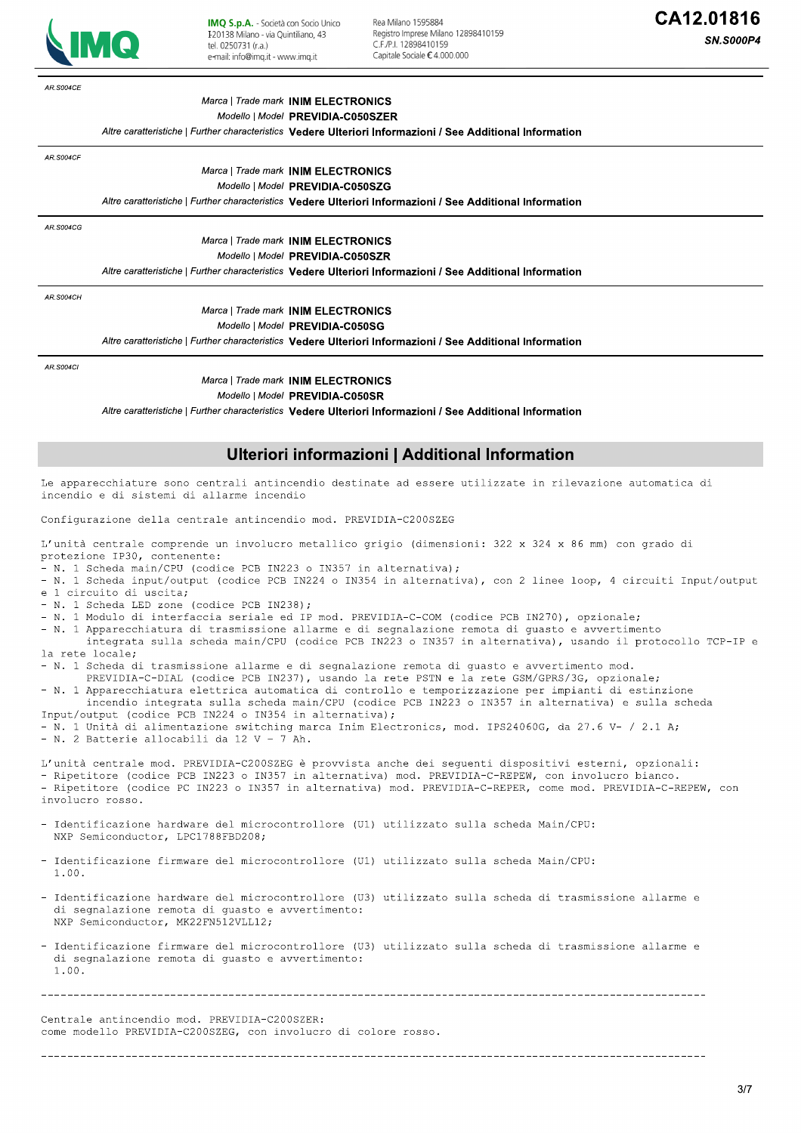

Rea Milano 1595884 Registro Imprese Milano 12898410159 C F /P | 12898410159 Capitale Sociale € 4,000,000

**SN.S000P4** 

AR S004CF Marca | Trade mark INIM ELECTRONICS Modello | Model PREVIDIA-C050SZER Altre caratteristiche | Further characteristics Vedere Ulteriori Informazioni / See Additional Information AR.S004CF Marca | Trade mark INIM ELECTRONICS Modello | Model PREVIDIA-C050SZG Altre caratteristiche | Further characteristics Vedere Ulteriori Informazioni / See Additional Information AR.S004CG Marca | Trade mark INIM ELECTRONICS Modello | Model PREVIDIA-C050SZR Altre caratteristiche | Further characteristics Vedere Ulteriori Informazioni / See Additional Information **AR.S004CH** Marca | Trade mark INIM ELECTRONICS Modello | Model PREVIDIA-C050SG Altre caratteristiche | Further characteristics Vedere Ulteriori Informazioni / See Additional Information AR S004C Marca | Trade mark INIM ELECTRONICS Modello | Model PREVIDIA-C050SR Altre caratteristiche | Further characteristics Vedere Ulteriori Informazioni / See Additional Information Ulteriori informazioni | Additional Information Le apparecchiature sono centrali antincendio destinate ad essere utilizzate in rilevazione automatica di incendio e di sistemi di allarme incendio Configurazione della centrale antincendio mod. PREVIDIA-C200SZEG L'unità centrale comprende un involucro metallico grigio (dimensioni: 322 x 324 x 86 mm) con grado di protezione IP30, contenente: N. 1 Scheda main/CPU (codice PCB IN223 o IN357 in alternativa); - N. 1 Scheda input/output (codice PCB IN224 o IN354 in alternativa), con 2 linee loop, 4 circuiti Input/output e 1 circuito di uscita: N. 1 Scheda LED zone (codice PCB IN238); - N. 1 Modulo di interfaccia seriale ed IP mod. PREVIDIA-C-COM (codice PCB IN270), opzionale; - N. 1 Apparecchiatura di trasmissione allarme e di segnalazione remota di guasto e avvertimento integrata sulla scheda main/CPU (codice PCB IN223 o IN357 in alternativa), usando il protocollo TCP-IP e la rete locale; - N. 1 Scheda di trasmissione allarme e di segnalazione remota di quasto e avvertimento mod. PREVIDIA-C-DIAL (codice PCB IN237), usando la rete PSTN e la rete GSM/GPRS/3G, opzionale; - N. 1 Apparecchiatura elettrica automatica di controllo e temporizzazione per impianti di estinzione incendio integrata sulla scheda main/CPU (codice PCB IN223 o IN357 in alternativa) e sulla scheda Input/output (codice PCB IN224 o IN354 in alternativa); - N. 1 Unità di alimentazione switching marca Inim Electronics, mod. IPS24060G, da 27.6 V- / 2.1 A; - N. 2 Batterie allocabili da 12 V - 7 Ah. L'unità centrale mod. PREVIDIA-C200SZEG è provvista anche dei sequenti dispositivi esterni, opzionali: - Ripetitore (codice PCB IN223 o IN357 in alternativa) mod. PREVIDIA-C-REPEW, con involucro bianco. - Ripetitore (codice PC IN223 o IN357 in alternativa) mod. PREVIDIA-C-REPER, come mod. PREVIDIA-C-REPEW, con involucro rosso. Identificazione hardware del microcontrollore (U1) utilizzato sulla scheda Main/CPU: NXP Semiconductor, LPC1788FBD208: Identificazione firmware del microcontrollore (U1) utilizzato sulla scheda Main/CPU:  $1.00.$ - Identificazione hardware del microcontrollore (U3) utilizzato sulla scheda di trasmissione allarme e di segnalazione remota di quasto e avvertimento: NXP Semiconductor, MK22FN512VLL12; - Identificazione firmware del microcontrollore (U3) utilizzato sulla scheda di trasmissione allarme e di segnalazione remota di quasto e avvertimento:  $1.00.$ Centrale antincendio mod. PREVIDIA-C200SZER: come modello PREVIDIA-C200SZEG, con involucro di colore rosso.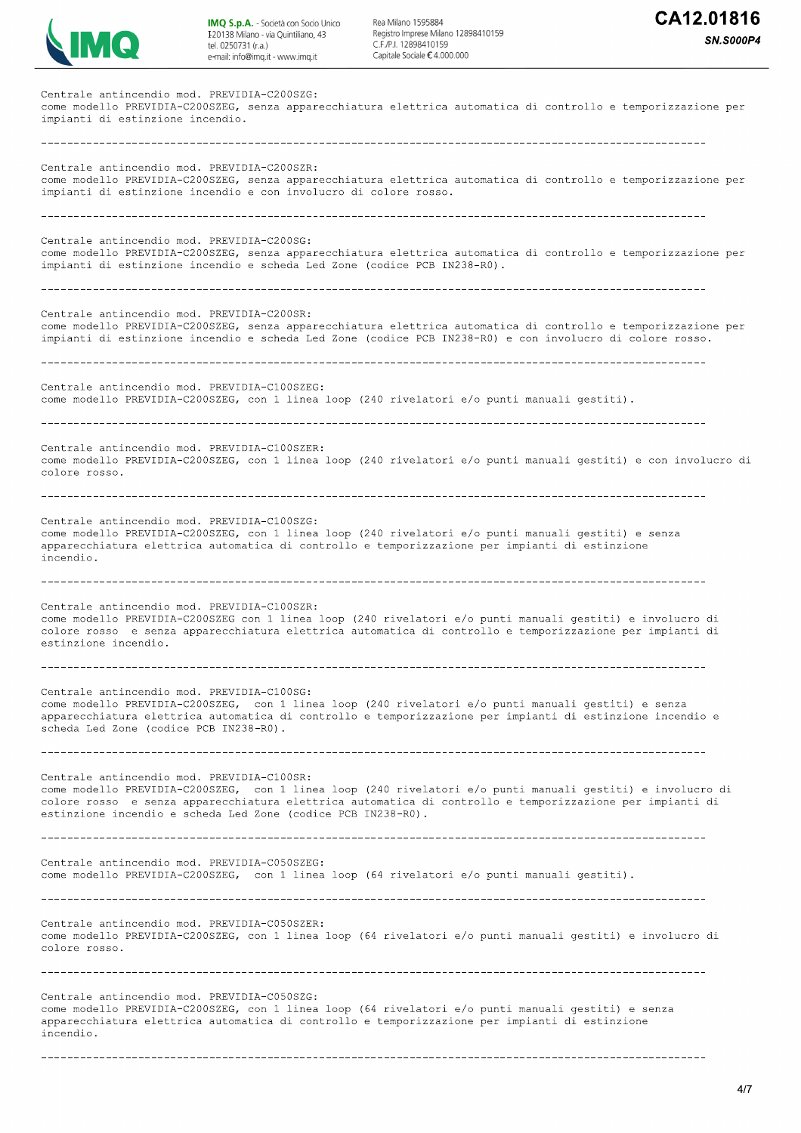

Rea Milano 1595884 Registro Imprese Milano 12898410159  $C E/D1 12808410150$ Capitale Sociale € 4.000.000



Centrale antincendio mod. PREVIDIA-C200SZG: come modello PREVIDIA-C200SZEG, senza apparecchiatura elettrica automatica di controllo e temporizzazione per impianti di estinzione incendio. Centrale antincendio mod. PREVIDIA-C200SZR: come modello PREVIDIA-C200SZEG, senza apparecchiatura elettrica automatica di controllo e temporizzazione per impianti di estinzione incendio e con involucro di colore rosso. Centrale antincendio mod. PREVIDIA-C200SG: come modello PREVIDIA-C200SZEG, senza apparecchiatura elettrica automatica di controllo e temporizzazione per impianti di estinzione incendio e scheda Led Zone (codice PCB IN238-R0). Centrale antincendio mod. PREVIDIA-C200SR: come modello PREVIDIA-C200SZEG, senza apparecchiatura elettrica automatica di controllo e temporizzazione per impianti di estinzione incendio e scheda Led Zone (codice PCB IN238-R0) e con involucro di colore rosso. Centrale antincendio mod. PREVIDIA-C100SZEG: come modello PREVIDIA-C200SZEG, con 1 linea loop (240 rivelatori e/o punti manuali gestiti). Centrale antincendio mod. PREVIDIA-C100SZER: come modello PREVIDIA-C200SZEG, con 1 linea loop (240 rivelatori e/o punti manuali gestiti) e con involucro di colore rosso. Centrale antincendio mod. PREVIDIA-C100SZG: come modello PREVIDIA-C200SZEG, con 1 linea loop (240 rivelatori e/o punti manuali qestiti) e senza apparecchiatura elettrica automatica di controllo e temporizzazione per impianti di estinzione incendio. Centrale antincendio mod. PREVIDIA-C100SZR: come modello PREVIDIA-C200SZEG con 1 linea loop (240 rivelatori e/o punti manuali gestiti) e involucro di colore rosso e senza apparecchiatura elettrica automatica di controllo e temporizzazione per impianti di estinzione incendio. Centrale antincendio mod. PREVIDIA-C100SG: come modello PREVIDIA-C200SZEG, con 1 linea loop (240 rivelatori e/o punti manuali gestiti) e senza apparecchiatura elettrica automatica di controllo e temporizzazione per impianti di estinzione incendio e scheda Led Zone (codice PCB IN238-R0). Centrale antincendio mod. PREVIDIA-C100SR: come modello PREVIDIA-C200SZEG, con 1 linea loop (240 rivelatori e/o punti manuali gestiti) e involucro di colore rosso e senza apparecchiatura elettrica automatica di controllo e temporizzazione per impianti di estinzione incendio e scheda Led Zone (codice PCB IN238-R0). Centrale antincendio mod. PREVIDIA-C050SZEG: come modello PREVIDIA-C200SZEG, con 1 linea loop (64 rivelatori e/o punti manuali gestiti). Centrale antincendio mod. PREVIDIA-C050SZER: come modello PREVIDIA-C200SZEG, con 1 linea loop (64 rivelatori e/o punti manuali gestiti) e involucro di colore rosso. Centrale antincendio mod. PREVIDIA-C050SZG: come modello PREVIDIA-C200SZEG, con 1 linea loop (64 rivelatori e/o punti manuali gestiti) e senza apparecchiatura elettrica automatica di controllo e temporizzazione per impianti di estinzione incendio.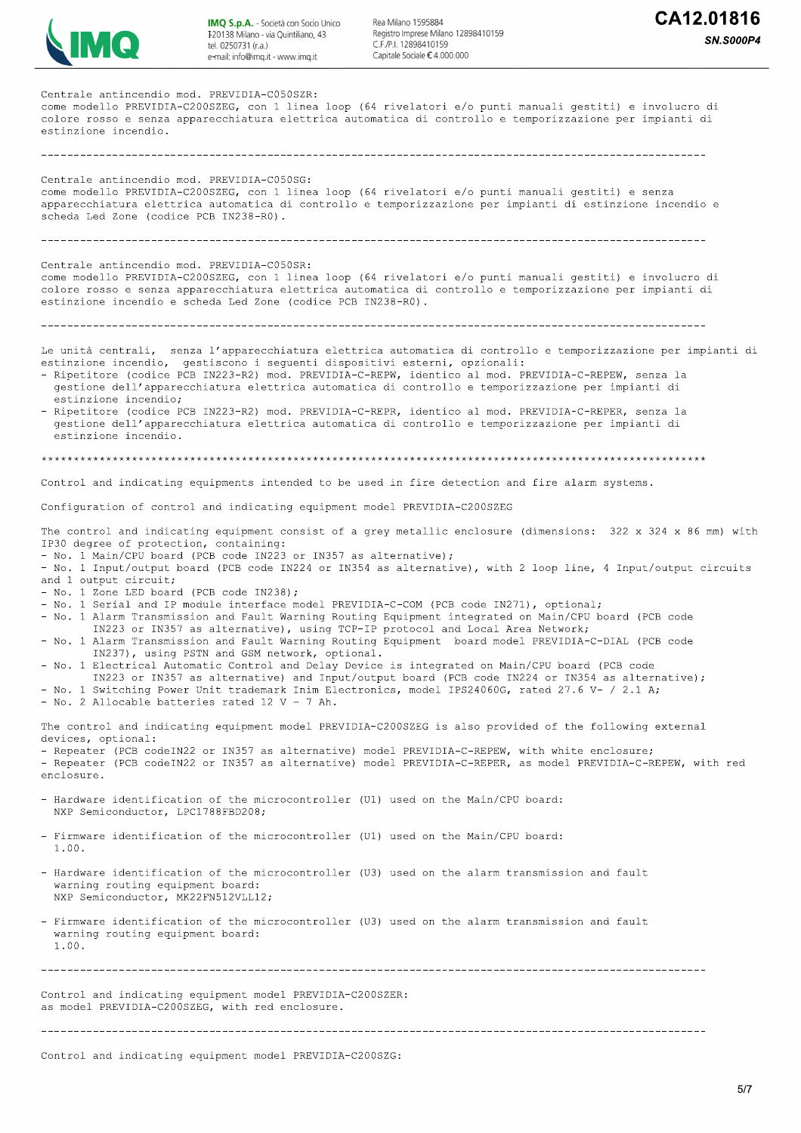

Rea Milano 1595884<br>Registro Imprese Milano 12898410159<br>C.F.∕P.I. 12898410159<br>Capitale Sociale € 4.000.000

| Centrale antincendio mod. PREVIDIA-C050SZR:<br>come modello PREVIDIA-C200SZEG, con 1 linea loop (64 rivelatori e/o punti manuali qestiti) e involucro di<br>colore rosso e senza apparecchiatura elettrica automatica di controllo e temporizzazione per impianti di<br>estinzione incendio.                                                                                                                                                                                                                                                                                                                                                                                                                                                                                                                                                                                                                                                                                                                                                                                                                                                                                                                                  |
|-------------------------------------------------------------------------------------------------------------------------------------------------------------------------------------------------------------------------------------------------------------------------------------------------------------------------------------------------------------------------------------------------------------------------------------------------------------------------------------------------------------------------------------------------------------------------------------------------------------------------------------------------------------------------------------------------------------------------------------------------------------------------------------------------------------------------------------------------------------------------------------------------------------------------------------------------------------------------------------------------------------------------------------------------------------------------------------------------------------------------------------------------------------------------------------------------------------------------------|
| Centrale antincendio mod. PREVIDIA-C050SG:<br>come modello PREVIDIA-C200SZEG, con 1 linea loop (64 rivelatori e/o punti manuali gestiti) e senza<br>apparecchiatura elettrica automatica di controllo e temporizzazione per impianti di estinzione incendio e<br>scheda Led Zone (codice PCB IN238-R0).                                                                                                                                                                                                                                                                                                                                                                                                                                                                                                                                                                                                                                                                                                                                                                                                                                                                                                                       |
| Centrale antincendio mod. PREVIDIA-C050SR:<br>come modello PREVIDIA-C200SZEG, con 1 linea loop (64 rivelatori e/o punti manuali gestiti) e involucro di<br>colore rosso e senza apparecchiatura elettrica automatica di controllo e temporizzazione per impianti di<br>estinzione incendio e scheda Led Zone (codice PCB IN238-R0).                                                                                                                                                                                                                                                                                                                                                                                                                                                                                                                                                                                                                                                                                                                                                                                                                                                                                           |
|                                                                                                                                                                                                                                                                                                                                                                                                                                                                                                                                                                                                                                                                                                                                                                                                                                                                                                                                                                                                                                                                                                                                                                                                                               |
| Le unità centrali, senza l'apparecchiatura elettrica automatica di controllo e temporizzazione per impianti di<br>estinzione incendio, gestiscono i sequenti dispositivi esterni, opzionali:<br>- Ripetitore (codice PCB IN223-R2) mod. PREVIDIA-C-REPW, identico al mod. PREVIDIA-C-REPEW, senza la<br>gestione dell'apparecchiatura elettrica automatica di controllo e temporizzazione per impianti di<br>estinzione incendio;<br>- Ripetitore (codice PCB IN223-R2) mod. PREVIDIA-C-REPR, identico al mod. PREVIDIA-C-REPER, senza la<br>gestione dell'apparecchiatura elettrica automatica di controllo e temporizzazione per impianti di<br>estinzione incendio.                                                                                                                                                                                                                                                                                                                                                                                                                                                                                                                                                        |
|                                                                                                                                                                                                                                                                                                                                                                                                                                                                                                                                                                                                                                                                                                                                                                                                                                                                                                                                                                                                                                                                                                                                                                                                                               |
| Control and indicating equipments intended to be used in fire detection and fire alarm systems.                                                                                                                                                                                                                                                                                                                                                                                                                                                                                                                                                                                                                                                                                                                                                                                                                                                                                                                                                                                                                                                                                                                               |
| Configuration of control and indicating equipment model PREVIDIA-C200SZEG                                                                                                                                                                                                                                                                                                                                                                                                                                                                                                                                                                                                                                                                                                                                                                                                                                                                                                                                                                                                                                                                                                                                                     |
| The control and indicating equipment consist of a grey metallic enclosure (dimensions: 322 x 324 x 86 mm) with<br>IP30 degree of protection, containing:<br>- No. 1 Main/CPU board (PCB code IN223 or IN357 as alternative);<br>- No. 1 Input/output board (PCB code IN224 or IN354 as alternative), with 2 loop line, 4 Input/output circuits<br>and 1 output circuit;<br>- No. 1 Zone LED board (PCB code IN238);<br>- No. 1 Serial and IP module interface model PREVIDIA-C-COM (PCB code IN271), optional;<br>- No. 1 Alarm Transmission and Fault Warning Routing Equipment integrated on Main/CPU board (PCB code<br>IN223 or IN357 as alternative), using TCP-IP protocol and Local Area Network;<br>- No. 1 Alarm Transmission and Fault Warning Routing Equipment board model PREVIDIA-C-DIAL (PCB code<br>IN237), using PSTN and GSM network, optional.<br>- No. 1 Electrical Automatic Control and Delay Device is integrated on Main/CPU board (PCB code<br>IN223 or IN357 as alternative) and Input/output board (PCB code IN224 or IN354 as alternative);<br>- No. 1 Switching Power Unit trademark Inim Electronics, model IPS24060G, rated 27.6 V- / 2.1 A;<br>- No. 2 Allocable batteries rated 12 V - 7 Ah. |
| The control and indicating equipment model PREVIDIA-C200SZEG is also provided of the following external<br>devices, optional:<br>- Repeater (PCB codeIN22 or IN357 as alternative) model PREVIDIA-C-REPEW, with white enclosure;<br>- Repeater (PCB codeIN22 or IN357 as alternative) model PREVIDIA-C-REPER, as model PREVIDIA-C-REPEW, with red<br>enclosure.                                                                                                                                                                                                                                                                                                                                                                                                                                                                                                                                                                                                                                                                                                                                                                                                                                                               |
| - Hardware identification of the microcontroller (U1) used on the Main/CPU board:<br>NXP Semiconductor, LPC1788FBD208;                                                                                                                                                                                                                                                                                                                                                                                                                                                                                                                                                                                                                                                                                                                                                                                                                                                                                                                                                                                                                                                                                                        |
| - Firmware identification of the microcontroller (U1) used on the Main/CPU board:<br>1.00.                                                                                                                                                                                                                                                                                                                                                                                                                                                                                                                                                                                                                                                                                                                                                                                                                                                                                                                                                                                                                                                                                                                                    |
| - Hardware identification of the microcontroller (U3) used on the alarm transmission and fault<br>warning routing equipment board:<br>NXP Semiconductor, MK22FN512VLL12;                                                                                                                                                                                                                                                                                                                                                                                                                                                                                                                                                                                                                                                                                                                                                                                                                                                                                                                                                                                                                                                      |
| - Firmware identification of the microcontroller (U3) used on the alarm transmission and fault<br>warning routing equipment board:<br>1.00.                                                                                                                                                                                                                                                                                                                                                                                                                                                                                                                                                                                                                                                                                                                                                                                                                                                                                                                                                                                                                                                                                   |
|                                                                                                                                                                                                                                                                                                                                                                                                                                                                                                                                                                                                                                                                                                                                                                                                                                                                                                                                                                                                                                                                                                                                                                                                                               |
| Control and indicating equipment model PREVIDIA-C200SZER:<br>as model PREVIDIA-C200SZEG, with red enclosure.                                                                                                                                                                                                                                                                                                                                                                                                                                                                                                                                                                                                                                                                                                                                                                                                                                                                                                                                                                                                                                                                                                                  |
|                                                                                                                                                                                                                                                                                                                                                                                                                                                                                                                                                                                                                                                                                                                                                                                                                                                                                                                                                                                                                                                                                                                                                                                                                               |

Control and indicating equipment model PREVIDIA-C200SZG: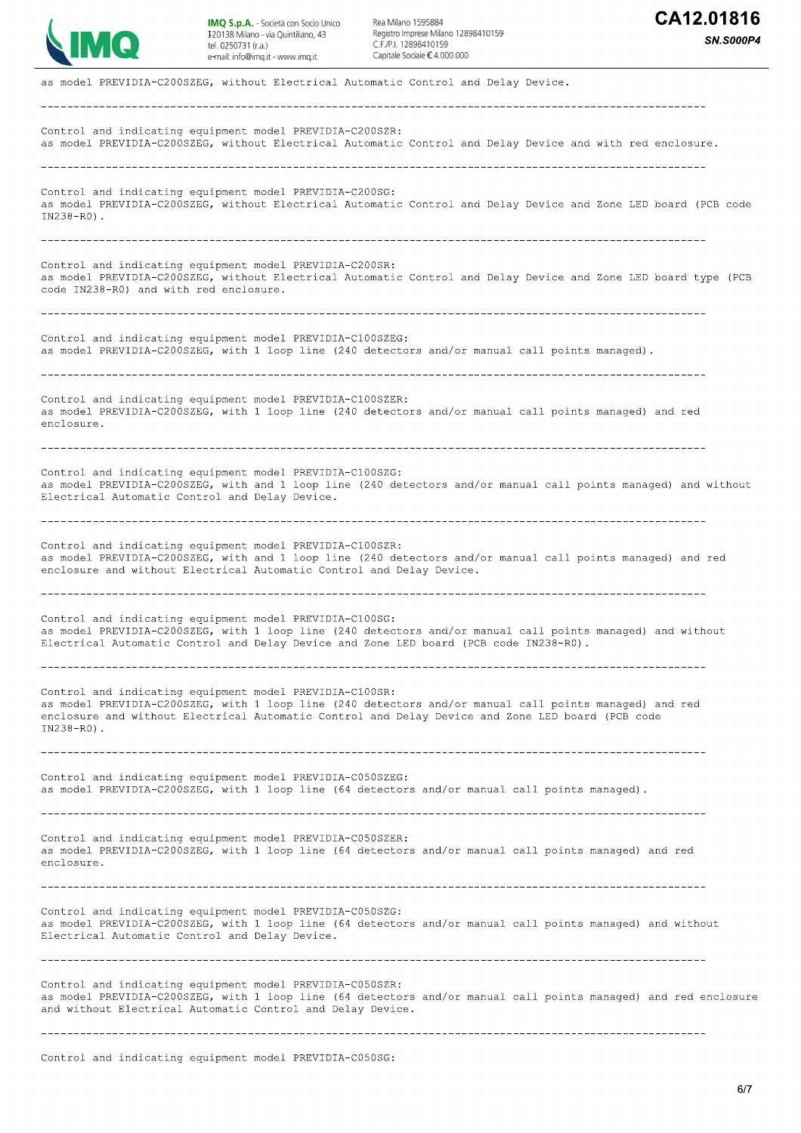

Rea Milano 1595884 Registro Imprese Milano 12898410159 C F /P | 12898410159 Capitale Sociale € 4,000,000

**SN.S000P4** 

as model PREVIDIA-C200SZEG, without Electrical Automatic Control and Delay Device. \_\_\_\_\_\_\_\_\_\_\_\_\_\_\_\_\_\_\_\_\_\_\_\_\_\_\_\_ Control and indicating equipment model PREVIDIA-C200SZR: as model PREVIDIA-C200SZEG, without Electrical Automatic Control and Delay Device and with red enclosure. Control and indicating equipment model PREVIDIA-C200SG: as model PREVIDIA-C200SZEG, without Electrical Automatic Control and Delay Device and Zone LED board (PCB code IN238-R0). Control and indicating equipment model PREVIDIA-C200SR: as model PREVIDIA-C200SZEG, without Electrical Automatic Control and Delay Device and Zone LED board type (PCB code IN238-R0) and with red enclosure. Control and indicating equipment model PREVIDIA-C100SZEG: as model PREVIDIA-C200SZEG, with 1 loop line (240 detectors and/or manual call points managed). Control and indicating equipment model PREVIDIA-C100SZER: as model PREVIDIA-C200SZEG, with 1 loop line (240 detectors and/or manual call points managed) and red enclosure Control and indicating equipment model PREVIDIA-C100SZG: as model PREVIDIA-C200SZEG, with and 1 loop line (240 detectors and/or manual call points managed) and without Electrical Automatic Control and Delay Device. Control and indicating equipment model PREVIDIA-C100SZR: as model PREVIDIA-C200SZEG, with and 1 loop line (240 detectors and/or manual call points managed) and red enclosure and without Electrical Automatic Control and Delay Device. Control and indicating equipment model PREVIDIA-C100SG: as model PREVIDIA-C200SZEG, with 1 loop line (240 detectors and/or manual call points managed) and without Electrical Automatic Control and Delay Device and Zone LED board (PCB code IN238-RO). Control and indicating equipment model PREVIDIA-C100SR: as model PREVIDIA-C200SZEG, with 1 loop line (240 detectors and/or manual call points managed) and red enclosure and without Electrical Automatic Control and Delay Device and Zone LED board (PCB code  $TN238 - R0$ ). Control and indicating equipment model PREVIDIA-C050SZEG: as model PREVIDIA-C200SZEG, with 1 loop line (64 detectors and/or manual call points managed). Control and indicating equipment model PREVIDIA-C050SZER: as model PREVIDIA-C200SZEG, with 1 loop line (64 detectors and/or manual call points managed) and red enclosure. Control and indicating equipment model PREVIDIA-C050SZG: as model PREVIDIA-C200SZEG, with 1 loop line (64 detectors and/or manual call points managed) and without Electrical Automatic Control and Delay Device. Control and indicating equipment model PREVIDIA-C050SZR: as model PREVIDIA-C200SZEG, with 1 loop line (64 detectors and/or manual call points managed) and red enclosure and without Electrical Automatic Control and Delay Device.